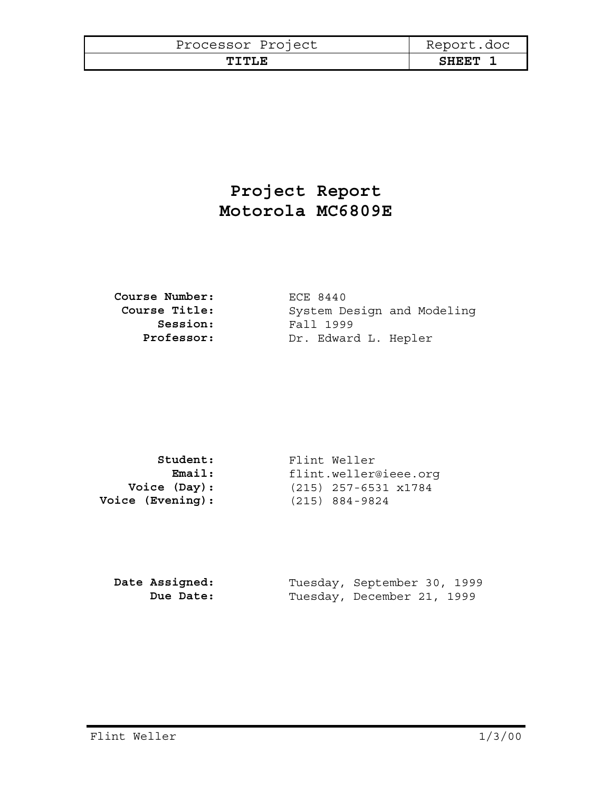| Processor Project | Report.doc   |
|-------------------|--------------|
| TTTLE             | <b>SHEET</b> |

## **Project Report Motorola MC6809E**

| <b>Course Number:</b> |
|-----------------------|
| Course Title:         |
| Session:              |
| Professor:            |

**Course Number:** ECE 8440 System Design and Modeling **Session:** Fall 1999 Dr. Edward L. Hepler

| Student:                | Flint Weller           |
|-------------------------|------------------------|
| Email:                  | flint.weller@ieee.orq  |
| Voice (Day):            | $(215)$ 257-6531 x1784 |
| <b>Voice (Evening):</b> | $(215) 884 - 9824$     |

| Date Assigned: | Tuesday, September 30, 1999 |  |
|----------------|-----------------------------|--|
| Due Date:      | Tuesday, December 21, 1999  |  |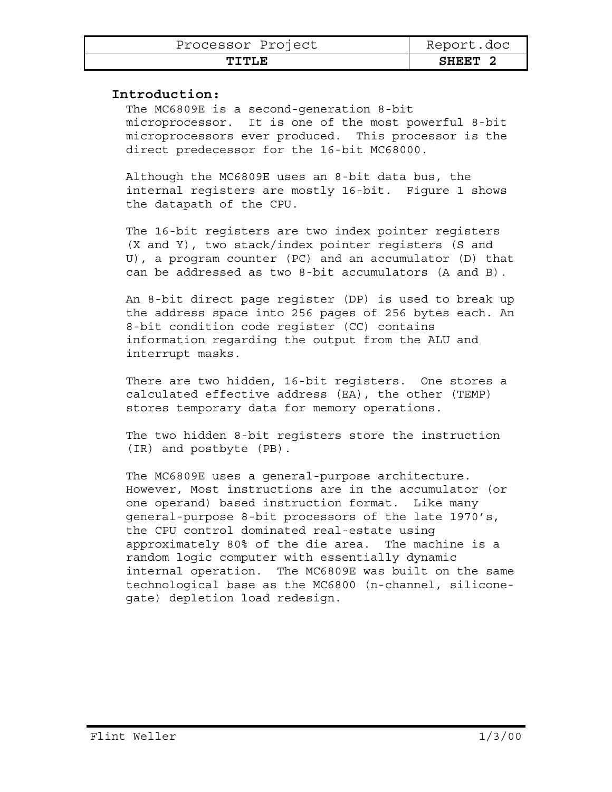| Processor Project | Report.doc |
|-------------------|------------|
| TITTIT.N          | SHEET      |

## **Introduction:**

The MC6809E is a second-generation 8-bit microprocessor. It is one of the most powerful 8-bit microprocessors ever produced. This processor is the direct predecessor for the 16-bit MC68000.

Although the MC6809E uses an 8-bit data bus, the internal registers are mostly 16-bit. Figure 1 shows the datapath of the CPU.

The 16-bit registers are two index pointer registers (X and Y), two stack/index pointer registers (S and U), a program counter (PC) and an accumulator (D) that can be addressed as two 8-bit accumulators (A and B).

An 8-bit direct page register (DP) is used to break up the address space into 256 pages of 256 bytes each. An 8-bit condition code register (CC) contains information regarding the output from the ALU and interrupt masks.

There are two hidden, 16-bit registers. One stores a calculated effective address (EA), the other (TEMP) stores temporary data for memory operations.

The two hidden 8-bit registers store the instruction (IR) and postbyte (PB).

The MC6809E uses a general-purpose architecture. However, Most instructions are in the accumulator (or one operand) based instruction format. Like many general-purpose 8-bit processors of the late 1970's, the CPU control dominated real-estate using approximately 80% of the die area. The machine is a random logic computer with essentially dynamic internal operation. The MC6809E was built on the same technological base as the MC6800 (n-channel, siliconegate) depletion load redesign.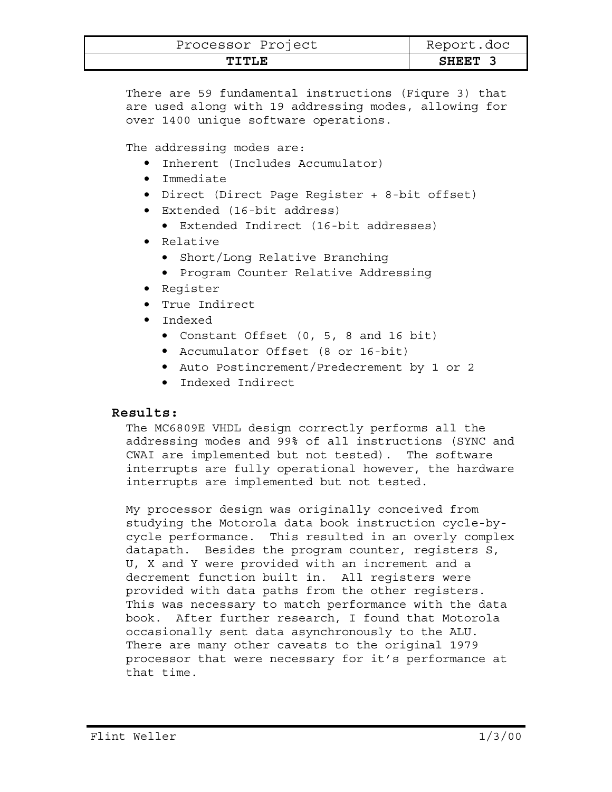| Processor Project | Report.doc |
|-------------------|------------|
| TTTLE             | SHEET      |

There are 59 fundamental instructions (Fiqure 3) that are used along with 19 addressing modes, allowing for over 1400 unique software operations.

The addressing modes are:

- Inherent (Includes Accumulator)
- Immediate
- Direct (Direct Page Register + 8-bit offset)
- Extended (16-bit address)
	- Extended Indirect (16-bit addresses)
- Relative
	- Short/Long Relative Branching
	- Program Counter Relative Addressing
- Register
- True Indirect
- Indexed
	- Constant Offset (0, 5, 8 and 16 bit)
	- Accumulator Offset (8 or 16-bit)
	- Auto Postincrement/Predecrement by 1 or 2
	- Indexed Indirect

## **Results:**

The MC6809E VHDL design correctly performs all the addressing modes and 99% of all instructions (SYNC and CWAI are implemented but not tested). The software interrupts are fully operational however, the hardware interrupts are implemented but not tested.

My processor design was originally conceived from studying the Motorola data book instruction cycle-bycycle performance. This resulted in an overly complex datapath. Besides the program counter, registers S, U, X and Y were provided with an increment and a decrement function built in. All registers were provided with data paths from the other registers. This was necessary to match performance with the data book. After further research, I found that Motorola occasionally sent data asynchronously to the ALU. There are many other caveats to the original 1979 processor that were necessary for it's performance at that time.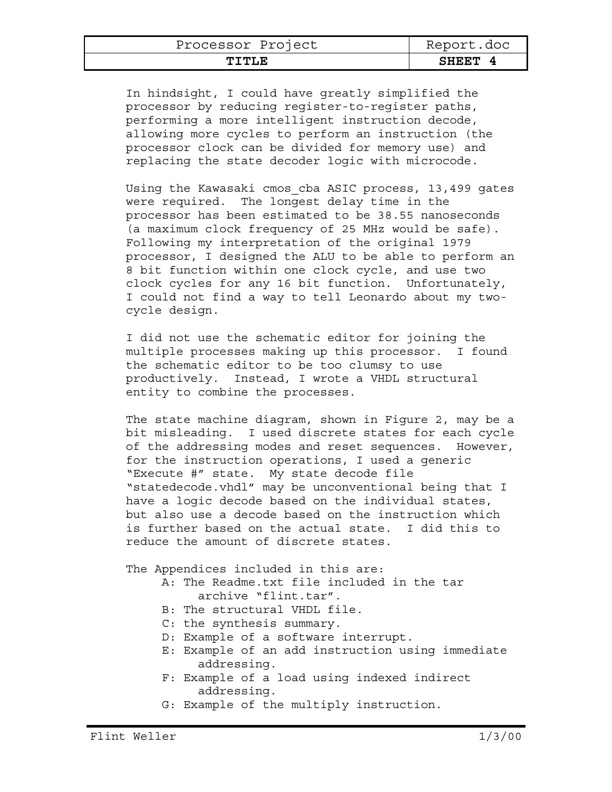| Processor Project | Report.doc |
|-------------------|------------|
| ጥፐጥፒ.ጀ            | SHEET      |

In hindsight, I could have greatly simplified the processor by reducing register-to-register paths, performing a more intelligent instruction decode, allowing more cycles to perform an instruction (the processor clock can be divided for memory use) and replacing the state decoder logic with microcode.

Using the Kawasaki cmos cba ASIC process, 13,499 gates were required. The longest delay time in the processor has been estimated to be 38.55 nanoseconds (a maximum clock frequency of 25 MHz would be safe). Following my interpretation of the original 1979 processor, I designed the ALU to be able to perform an 8 bit function within one clock cycle, and use two clock cycles for any 16 bit function. Unfortunately, I could not find a way to tell Leonardo about my twocycle design.

I did not use the schematic editor for joining the multiple processes making up this processor. I found the schematic editor to be too clumsy to use productively. Instead, I wrote a VHDL structural entity to combine the processes.

The state machine diagram, shown in Figure 2, may be a bit misleading. I used discrete states for each cycle of the addressing modes and reset sequences. However, for the instruction operations, I used a generic "Execute #" state. My state decode file "statedecode.vhdl" may be unconventional being that I have a logic decode based on the individual states, but also use a decode based on the instruction which is further based on the actual state. I did this to reduce the amount of discrete states.

The Appendices included in this are:

- A: The Readme.txt file included in the tar archive "flint.tar".
- B: The structural VHDL file.
- C: the synthesis summary.
- D: Example of a software interrupt.
- E: Example of an add instruction using immediate addressing.
- F: Example of a load using indexed indirect addressing.
- G: Example of the multiply instruction.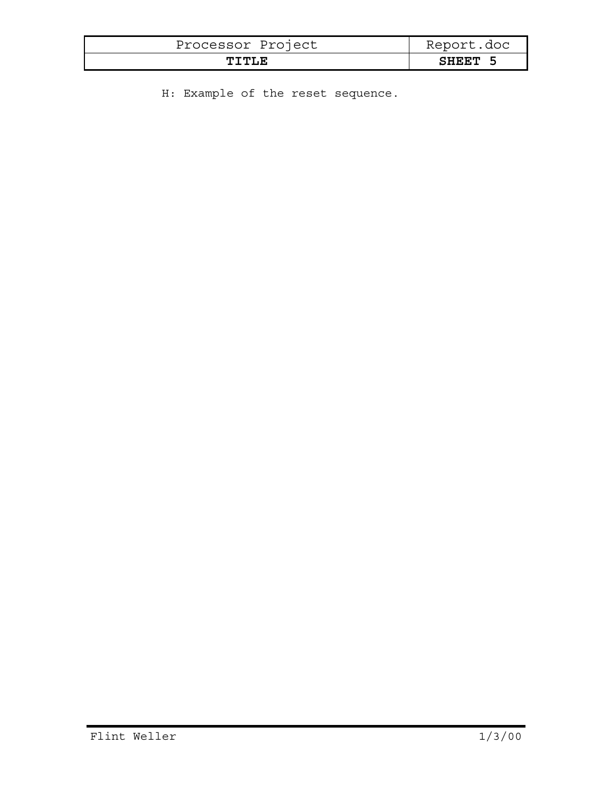| Processor Project | Report.doc |
|-------------------|------------|
| TTTLE             | SHEET 5    |

H: Example of the reset sequence.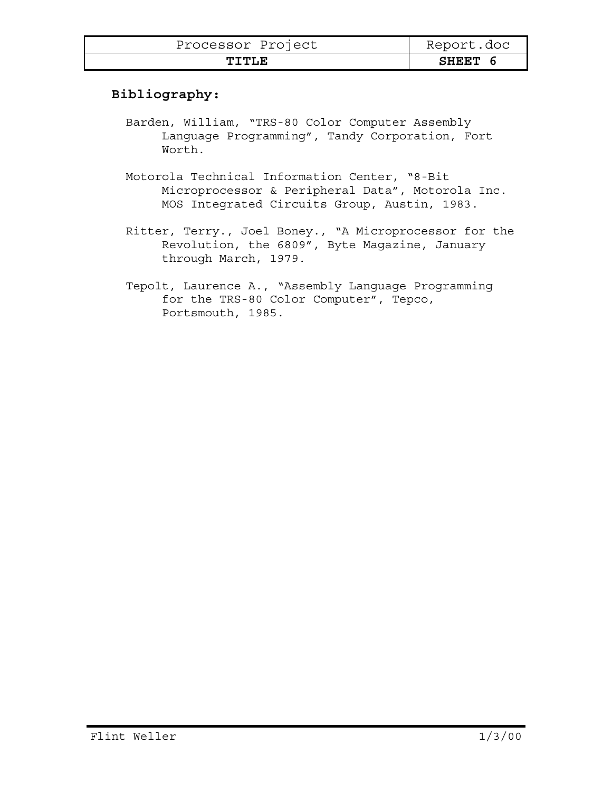| Processor Project | Report.doc   |
|-------------------|--------------|
| TTTLE.            | <b>SHEET</b> |

## **Bibliography:**

- Barden, William, "TRS-80 Color Computer Assembly Language Programming", Tandy Corporation, Fort Worth.
- Motorola Technical Information Center, "8-Bit Microprocessor & Peripheral Data", Motorola Inc. MOS Integrated Circuits Group, Austin, 1983.
- Ritter, Terry., Joel Boney., "A Microprocessor for the Revolution, the 6809", Byte Magazine, January through March, 1979.
- Tepolt, Laurence A., "Assembly Language Programming for the TRS-80 Color Computer", Tepco, Portsmouth, 1985.